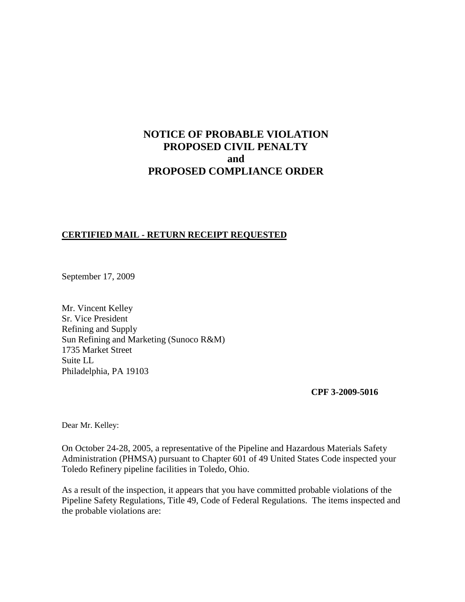# **NOTICE OF PROBABLE VIOLATION PROPOSED CIVIL PENALTY and PROPOSED COMPLIANCE ORDER**

## **CERTIFIED MAIL - RETURN RECEIPT REQUESTED**

September 17, 2009

Mr. Vincent Kelley Sr. Vice President Refining and Supply Sun Refining and Marketing (Sunoco R&M) 1735 Market Street Suite LL Philadelphia, PA 19103

**CPF 3-2009-5016**

Dear Mr. Kelley:

On October 24-28, 2005, a representative of the Pipeline and Hazardous Materials Safety Administration (PHMSA) pursuant to Chapter 601 of 49 United States Code inspected your Toledo Refinery pipeline facilities in Toledo, Ohio.

As a result of the inspection, it appears that you have committed probable violations of the Pipeline Safety Regulations, Title 49, Code of Federal Regulations. The items inspected and the probable violations are: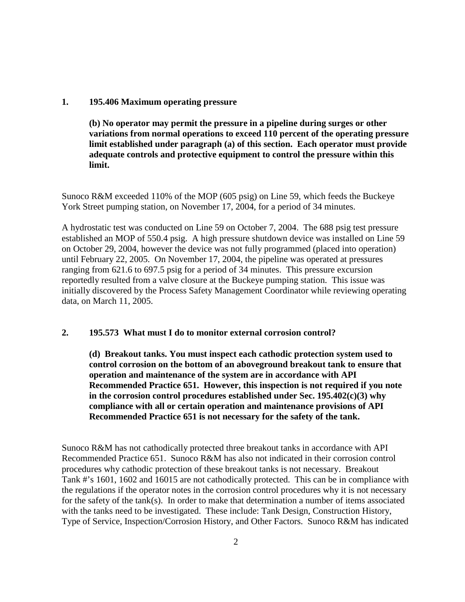## **1. 195.406 Maximum operating pressure**

**(b) No operator may permit the pressure in a pipeline during surges or other variations from normal operations to exceed 110 percent of the operating pressure limit established under paragraph (a) of this section. Each operator must provide adequate controls and protective equipment to control the pressure within this limit.**

Sunoco R&M exceeded 110% of the MOP (605 psig) on Line 59, which feeds the Buckeye York Street pumping station, on November 17, 2004, for a period of 34 minutes.

A hydrostatic test was conducted on Line 59 on October 7, 2004. The 688 psig test pressure established an MOP of 550.4 psig. A high pressure shutdown device was installed on Line 59 on October 29, 2004, however the device was not fully programmed (placed into operation) until February 22, 2005. On November 17, 2004, the pipeline was operated at pressures ranging from 621.6 to 697.5 psig for a period of 34 minutes. This pressure excursion reportedly resulted from a valve closure at the Buckeye pumping station. This issue was initially discovered by the Process Safety Management Coordinator while reviewing operating data, on March 11, 2005.

#### **2. 195.573 What must I do to monitor external corrosion control?**

**(d) Breakout tanks. You must inspect each cathodic protection system used to control corrosion on the bottom of an aboveground breakout tank to ensure that operation and maintenance of the system are in accordance with API Recommended Practice 651. However, this inspection is not required if you note in the corrosion control procedures established under Sec. 195.402(c)(3) why compliance with all or certain operation and maintenance provisions of API Recommended Practice 651 is not necessary for the safety of the tank.**

Sunoco R&M has not cathodically protected three breakout tanks in accordance with API Recommended Practice 651. Sunoco R&M has also not indicated in their corrosion control procedures why cathodic protection of these breakout tanks is not necessary. Breakout Tank #'s 1601, 1602 and 16015 are not cathodically protected. This can be in compliance with the regulations if the operator notes in the corrosion control procedures why it is not necessary for the safety of the tank(s). In order to make that determination a number of items associated with the tanks need to be investigated. These include: Tank Design, Construction History, Type of Service, Inspection/Corrosion History, and Other Factors. Sunoco R&M has indicated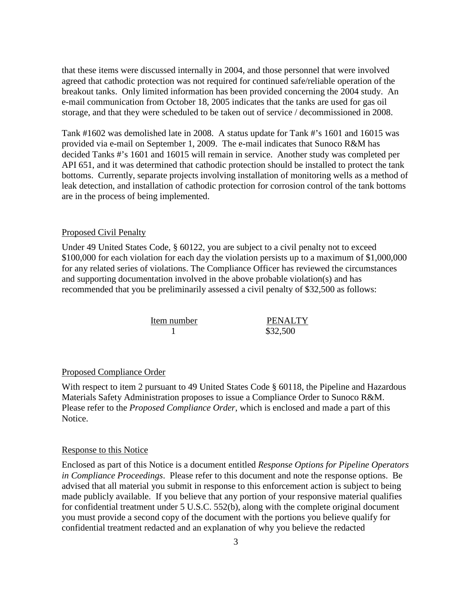that these items were discussed internally in 2004, and those personnel that were involved agreed that cathodic protection was not required for continued safe/reliable operation of the breakout tanks. Only limited information has been provided concerning the 2004 study. An e-mail communication from October 18, 2005 indicates that the tanks are used for gas oil storage, and that they were scheduled to be taken out of service / decommissioned in 2008.

Tank #1602 was demolished late in 2008. A status update for Tank #'s 1601 and 16015 was provided via e-mail on September 1, 2009. The e-mail indicates that Sunoco R&M has decided Tanks #'s 1601 and 16015 will remain in service. Another study was completed per API 651, and it was determined that cathodic protection should be installed to protect the tank bottoms. Currently, separate projects involving installation of monitoring wells as a method of leak detection, and installation of cathodic protection for corrosion control of the tank bottoms are in the process of being implemented.

#### Proposed Civil Penalty

Under 49 United States Code, § 60122, you are subject to a civil penalty not to exceed \$100,000 for each violation for each day the violation persists up to a maximum of \$1,000,000 for any related series of violations. The Compliance Officer has reviewed the circumstances and supporting documentation involved in the above probable violation(s) and has recommended that you be preliminarily assessed a civil penalty of \$32,500 as follows:

> Item number<br>
> 1 BENALTY<br>
> \$32.500 \$32,500

#### Proposed Compliance Order

With respect to item 2 pursuant to 49 United States Code § 60118, the Pipeline and Hazardous Materials Safety Administration proposes to issue a Compliance Order to Sunoco R&M. Please refer to the *Proposed Compliance Order*, which is enclosed and made a part of this Notice.

#### Response to this Notice

Enclosed as part of this Notice is a document entitled *Response Options for Pipeline Operators in Compliance Proceedings*. Please refer to this document and note the response options. Be advised that all material you submit in response to this enforcement action is subject to being made publicly available. If you believe that any portion of your responsive material qualifies for confidential treatment under 5 U.S.C. 552(b), along with the complete original document you must provide a second copy of the document with the portions you believe qualify for confidential treatment redacted and an explanation of why you believe the redacted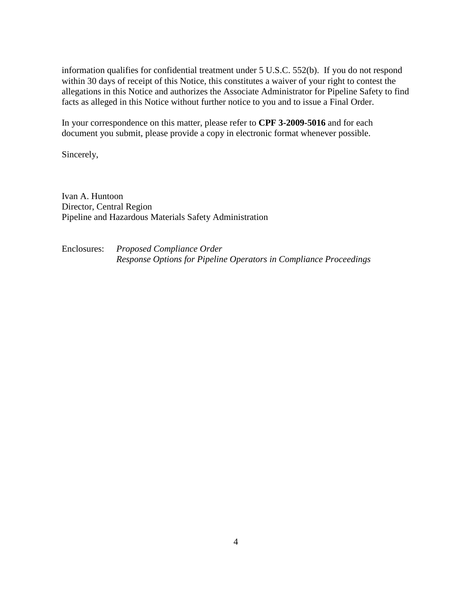information qualifies for confidential treatment under 5 U.S.C. 552(b). If you do not respond within 30 days of receipt of this Notice, this constitutes a waiver of your right to contest the allegations in this Notice and authorizes the Associate Administrator for Pipeline Safety to find facts as alleged in this Notice without further notice to you and to issue a Final Order.

In your correspondence on this matter, please refer to **CPF 3-2009-5016** and for each document you submit, please provide a copy in electronic format whenever possible.

Sincerely,

Ivan A. Huntoon Director, Central Region Pipeline and Hazardous Materials Safety Administration

Enclosures: *Proposed Compliance Order Response Options for Pipeline Operators in Compliance Proceedings*